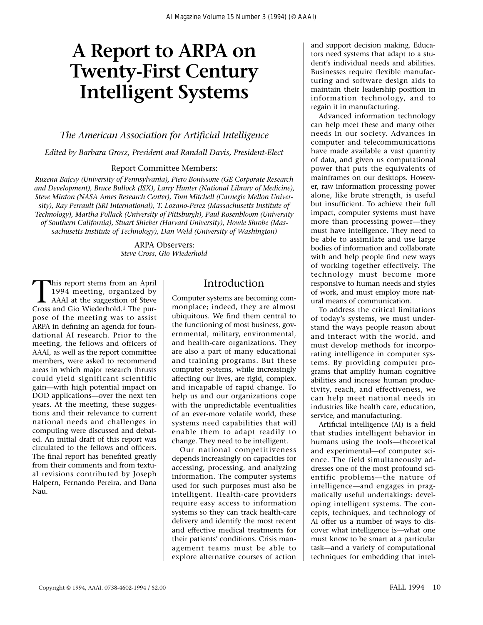# **A Report to ARPA on Twenty-First Century Intelligent Systems**

## *The American Association for Artificial Intelligence*

*Edited by Barbara Grosz, President and Randall Davis, President-Elect* 

#### Report Committee Members:

*Ruzena Bajcsy (University of Pennsylvania), Piero Bonissone (GE Corporate Research and Development), Bruce Bullock (ISX), Larry Hunter (National Library of Medicine), Steve Minton (NASA Ames Research Center), Tom Mitchell (Carnegie Mellon University), Ray Perrault (SRI International), T. Lozano-Perez (Massachusetts Institute of Technology), Martha Pollack (University of Pittsburgh), Paul Rosenbloom (University of Southern California), Stuart Shieber (Harvard University), Howie Shrobe (Massachusetts Institute of Technology), Dan Weld (University of Washington)*

> ARPA Observers: *Steve Cross, Gio Wiederhold*

This report stems from an April 1994 meeting, organized by AAAI at the suggestion of Steve Cross and Gio Wiederhold.<sup>1</sup> The purpose of the meeting was to assist ARPA in defining an agenda for foundational AI research. Prior to the meeting, the fellows and officers of AAAI, as well as the report committee members, were asked to recommend areas in which major research thrusts could yield significant scientific gain—with high potential impact on DOD applications—over the next ten years. At the meeting, these suggestions and their relevance to current national needs and challenges in computing were discussed and debated. An initial draft of this report was circulated to the fellows and officers. The final report has benefited greatly from their comments and from textual revisions contributed by Joseph Halpern, Fernando Pereira, and Dana Nau.

# Introduction

Computer systems are becoming commonplace; indeed, they are almost ubiquitous. We find them central to the functioning of most business, governmental, military, environmental, and health-care organizations. They are also a part of many educational and training programs. But these computer systems, while increasingly affecting our lives, are rigid, complex, and incapable of rapid change. To help us and our organizations cope with the unpredictable eventualities of an ever-more volatile world, these systems need capabilities that will enable them to adapt readily to change. They need to be intelligent.

Our national competitiveness depends increasingly on capacities for accessing, processing, and analyzing information. The computer systems used for such purposes must also be intelligent. Health-care providers require easy access to information systems so they can track health-care delivery and identify the most recent and effective medical treatments for their patients' conditions. Crisis management teams must be able to explore alternative courses of action and support decision making. Educators need systems that adapt to a student's individual needs and abilities. Businesses require flexible manufacturing and software design aids to maintain their leadership position in information technology, and to regain it in manufacturing.

Advanced information technology can help meet these and many other needs in our society. Advances in computer and telecommunications have made available a vast quantity of data, and given us computational power that puts the equivalents of mainframes on our desktops. However, raw information processing power alone, like brute strength, is useful but insufficient. To achieve their full impact, computer systems must have more than processing power—they must have intelligence. They need to be able to assimilate and use large bodies of information and collaborate with and help people find new ways of working together effectively. The technology must become more responsive to human needs and styles of work, and must employ more natural means of communication.

To address the critical limitations of today's systems, we must understand the ways people reason about and interact with the world, and must develop methods for incorporating intelligence in computer systems. By providing computer programs that amplify human cognitive abilities and increase human productivity, reach, and effectiveness, we can help meet national needs in industries like health care, education, service, and manufacturing.

Artificial intelligence (AI) is a field that studies intelligent behavior in humans using the tools—theoretical and experimental—of computer science. The field simultaneously addresses one of the most profound scientific problems—the nature of intelligence—and engages in pragmatically useful undertakings: developing intelligent systems. The concepts, techniques, and technology of AI offer us a number of ways to discover what intelligence is—what one must know to be smart at a particular task—and a variety of computational techniques for embedding that intel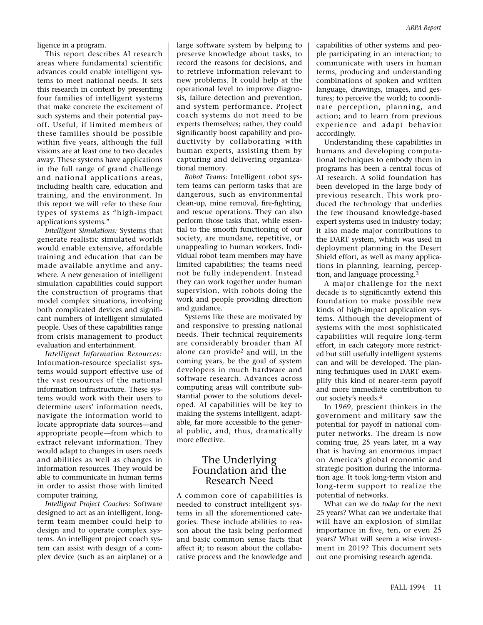ligence in a program.

This report describes AI research areas where fundamental scientific advances could enable intelligent systems to meet national needs. It sets this research in context by presenting four families of intelligent systems that make concrete the excitement of such systems and their potential payoff. Useful, if limited members of these families should be possible within five years, although the full visions are at least one to two decades away. These systems have applications in the full range of grand challenge and national applications areas, including health care, education and training, and the environment. In this report we will refer to these four types of systems as "high-impact applications systems."

*Intelligent Simulations:* Systems that generate realistic simulated worlds would enable extensive, affordable training and education that can be made available anytime and anywhere. A new generation of intelligent simulation capabilities could support the construction of programs that model complex situations, involving both complicated devices and significant numbers of intelligent simulated people. Uses of these capabilities range from crisis management to product evaluation and entertainment.

*Intelligent Information Resources:* Information-resource specialist systems would support effective use of the vast resources of the national information infrastructure. These systems would work with their users to determine users' information needs, navigate the information world to locate appropriate data sources—and appropriate people—from which to extract relevant information. They would adapt to changes in users needs and abilities as well as changes in information resources. They would be able to communicate in human terms in order to assist those with limited computer training.

*Intelligent Project Coaches:* Software designed to act as an intelligent, longterm team member could help to design and to operate complex systems. An intelligent project coach system can assist with design of a complex device (such as an airplane) or a large software system by helping to preserve knowledge about tasks, to record the reasons for decisions, and to retrieve information relevant to new problems. It could help at the operational level to improve diagnosis, failure detection and prevention, and system performance. Project coach systems do not need to be experts themselves; rather, they could significantly boost capability and productivity by collaborating with human experts, assisting them by capturing and delivering organizational memory.

*Robot Teams:* Intelligent robot system teams can perform tasks that are dangerous, such as environmental clean-up, mine removal, fire-fighting, and rescue operations. They can also perform those tasks that, while essential to the smooth functioning of our society, are mundane, repetitive, or unappealing to human workers. Individual robot team members may have limited capabilities; the teams need not be fully independent. Instead they can work together under human supervision, with robots doing the work and people providing direction and guidance.

Systems like these are motivated by and responsive to pressing national needs. Their technical requirements are considerably broader than AI alone can provide2 and will, in the coming years, be the goal of system developers in much hardware and software research. Advances across computing areas will contribute substantial power to the solutions developed. AI capabilities will be key to making the systems intelligent, adaptable, far more accessible to the general public, and, thus, dramatically more effective.

## The Underlying Foundation and the Research Need

A common core of capabilities is needed to construct intelligent systems in all the aforementioned categories. These include abilities to reason about the task being performed and basic common sense facts that affect it; to reason about the collaborative process and the knowledge and capabilities of other systems and people participating in an interaction; to communicate with users in human terms, producing and understanding combinations of spoken and written language, drawings, images, and gestures; to perceive the world; to coordinate perception, planning, and action; and to learn from previous experience and adapt behavior accordingly.

Understanding these capabilities in humans and developing computational techniques to embody them in programs has been a central focus of AI research. A solid foundation has been developed in the large body of previous research. This work produced the technology that underlies the few thousand knowledge-based expert systems used in industry today; it also made major contributions to the DART system, which was used in deployment planning in the Desert Shield effort, as well as many applications in planning, learning, perception, and language processing.3

A major challenge for the next decade is to significantly extend this foundation to make possible new kinds of high-impact application systems. Although the development of systems with the most sophisticated capabilities will require long-term effort, in each category more restricted but still usefully intelligent systems can and will be developed. The planning techniques used in DART exemplify this kind of nearer-term payoff and more immediate contribution to our society's needs.4

In 1969, prescient thinkers in the government and military saw the potential for payoff in national computer networks. The dream is now coming true, 25 years later, in a way that is having an enormous impact on America's global economic and strategic position during the information age. It took long-term vision and long-term support to realize the potential of networks.

What can we do *today* for the next 25 years? What can we undertake that will have an explosion of similar importance in five, ten, or even 25 years? What will seem a wise investment in 2019? This document sets out one promising research agenda.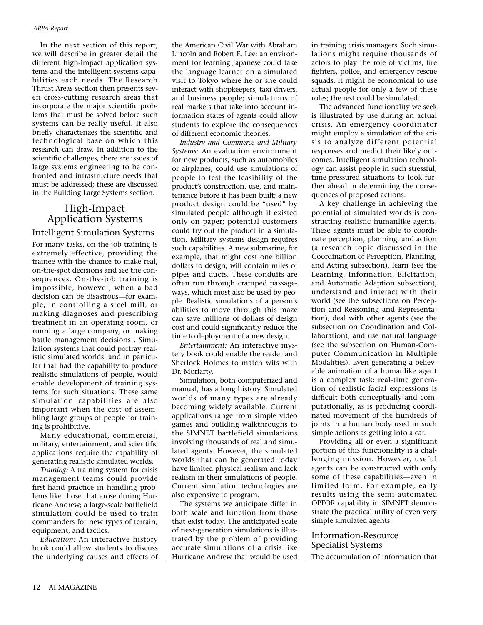In the next section of this report, we will describe in greater detail the different high-impact application systems and the intelligent-systems capabilities each needs. The Research Thrust Areas section then presents seven cross-cutting research areas that incorporate the major scientific problems that must be solved before such systems can be really useful. It also briefly characterizes the scientific and technological base on which this research can draw. In addition to the scientific challenges, there are issues of large systems engineering to be confronted and infrastructure needs that must be addressed; these are discussed in the Building Large Systems section.

# High-Impact Application Systems

#### Intelligent Simulation Systems

For many tasks, on-the-job training is extremely effective, providing the trainee with the chance to make real, on-the-spot decisions and see the consequences. On-the-job training is impossible, however, when a bad decision can be disastrous—for example, in controlling a steel mill, or making diagnoses and prescribing treatment in an operating room, or running a large company, or making battle management decisions . Simulation systems that could portray realistic simulated worlds, and in particular that had the capability to produce realistic simulations of people, would enable development of training systems for such situations. These same simulation capabilities are also important when the cost of assembling large groups of people for training is prohibitive.

Many educational, commercial, military, entertainment, and scientific applications require the capability of generating realistic simulated worlds.

*Training:* A training system for crisis management teams could provide first-hand practice in handling problems like those that arose during Hurricane Andrew; a large-scale battlefield simulation could be used to train commanders for new types of terrain, equipment, and tactics.

*Education:* An interactive history book could allow students to discuss the underlying causes and effects of the American Civil War with Abraham Lincoln and Robert E. Lee; an environment for learning Japanese could take the language learner on a simulated visit to Tokyo where he or she could interact with shopkeepers, taxi drivers, and business people; simulations of real markets that take into account information states of agents could allow students to explore the consequences of different economic theories.

*Industry and Commerce and Military Systems:* An evaluation environment for new products, such as automobiles or airplanes, could use simulations of people to test the feasibility of the product's construction, use, and maintenance before it has been built; a new product design could be "used" by simulated people although it existed only on paper; potential customers could try out the product in a simulation. Military systems design requires such capabilities. A new submarine, for example, that might cost one billion dollars to design, will contain miles of pipes and ducts. These conduits are often run through cramped passageways, which must also be used by people. Realistic simulations of a person's abilities to move through this maze can save millions of dollars of design cost and could significantly reduce the time to deployment of a new design.

*Entertainment:* An interactive mystery book could enable the reader and Sherlock Holmes to match wits with Dr. Moriarty.

Simulation, both computerized and manual, has a long history. Simulated worlds of many types are already becoming widely available. Current applications range from simple video games and building walkthroughs to the SIMNET battlefield simulations involving thousands of real and simulated agents. However, the simulated worlds that can be generated today have limited physical realism and lack realism in their simulations of people. Current simulation technologies are also expensive to program.

The systems we anticipate differ in both scale and function from those that exist today. The anticipated scale of next-generation simulations is illustrated by the problem of providing accurate simulations of a crisis like Hurricane Andrew that would be used

in training crisis managers. Such simulations might require thousands of actors to play the role of victims, fire fighters, police, and emergency rescue squads. It might be economical to use actual people for only a few of these roles; the rest could be simulated.

The advanced functionality we seek is illustrated by use during an actual crisis. An emergency coordinator might employ a simulation of the crisis to analyze different potential responses and predict their likely outcomes. Intelligent simulation technology can assist people in such stressful, time-pressured situations to look further ahead in determining the consequences of proposed actions.

A key challenge in achieving the potential of simulated worlds is constructing realistic humanlike agents. These agents must be able to coordinate perception, planning, and action (a research topic discussed in the Coordination of Perception, Planning, and Acting subsection), learn (see the Learning, Information, Elicitation, and Automatic Adaption subsection), understand and interact with their world (see the subsections on Perception and Reasoning and Representation), deal with other agents (see the subsection on Coordination and Collaboration), and use natural language (see the subsection on Human-Computer Communication in Multiple Modalities). Even generating a believable animation of a humanlike agent is a complex task: real-time generation of realistic facial expressions is difficult both conceptually and computationally, as is producing coordinated movement of the hundreds of joints in a human body used in such simple actions as getting into a car.

Providing all or even a significant portion of this functionality is a challenging mission. However, useful agents can be constructed with only some of these capabilities—even in limited form. For example, early results using the semi-automated OPFOR capability in SIMNET demonstrate the practical utility of even very simple simulated agents.

# Information-Resource Specialist Systems

The accumulation of information that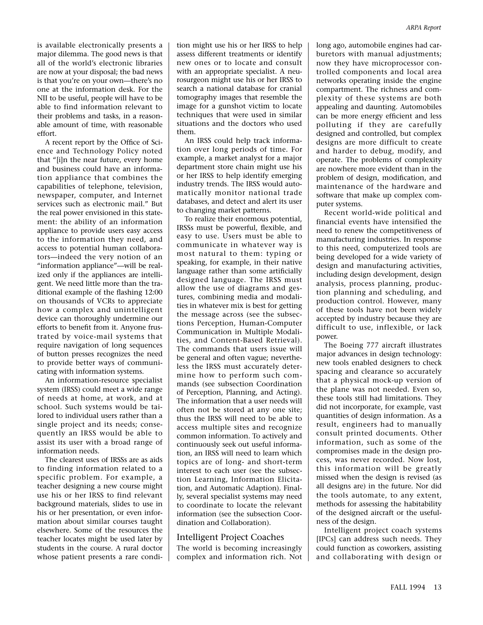is available electronically presents a major dilemma. The good news is that all of the world's electronic libraries are now at your disposal; the bad news is that you're on your own—there's no one at the information desk. For the NII to be useful, people will have to be able to find information relevant to their problems and tasks, in a reasonable amount of time, with reasonable effort.

A recent report by the Office of Science and Technology Policy noted that "[i]n the near future, every home and business could have an information appliance that combines the capabilities of telephone, television, newspaper, computer, and Internet services such as electronic mail." But the real power envisioned in this statement: the ability of an information appliance to provide users easy access to the information they need, and access to potential human collaborators—indeed the very notion of an "information appliance"—will be realized only if the appliances are intelligent. We need little more than the traditional example of the flashing 12:00 on thousands of VCRs to appreciate how a complex and unintelligent device can thoroughly undermine our efforts to benefit from it. Anyone frustrated by voice-mail systems that require navigation of long sequences of button presses recognizes the need to provide better ways of communicating with information systems.

An information-resource specialist system (IRSS) could meet a wide range of needs at home, at work, and at school. Such systems would be tailored to individual users rather than a single project and its needs; consequently an IRSS would be able to assist its user with a broad range of information needs.

The clearest uses of IRSSs are as aids to finding information related to a specific problem. For example, a teacher designing a new course might use his or her IRSS to find relevant background materials, slides to use in his or her presentation, or even information about similar courses taught elsewhere. Some of the resources the teacher locates might be used later by students in the course. A rural doctor whose patient presents a rare condi-

tion might use his or her IRSS to help assess different treatments or identify new ones or to locate and consult with an appropriate specialist. A neurosurgeon might use his or her IRSS to search a national database for cranial tomography images that resemble the image for a gunshot victim to locate techniques that were used in similar situations and the doctors who used them.

An IRSS could help track information over long periods of time. For example, a market analyst for a major department store chain might use his or her IRSS to help identify emerging industry trends. The IRSS would automatically monitor national trade databases, and detect and alert its user to changing market patterns.

To realize their enormous potential, IRSSs must be powerful, flexible, and easy to use. Users must be able to communicate in whatever way is most natural to them: typing or speaking, for example, in their native language rather than some artificially designed language. The IRSS must allow the use of diagrams and gestures, combining media and modalities in whatever mix is best for getting the message across (see the subsections Perception, Human-Computer Communication in Multiple Modalities, and Content-Based Retrieval). The commands that users issue will be general and often vague; nevertheless the IRSS must accurately determine how to perform such commands (see subsection Coordination of Perception, Planning, and Acting). The information that a user needs will often not be stored at any one site; thus the IRSS will need to be able to access multiple sites and recognize common information. To actively and continuously seek out useful information, an IRSS will need to learn which topics are of long- and short-term interest to each user (see the subsection Learning, Information Elicitation, and Automatic Adaption). Finally, several specialist systems may need to coordinate to locate the relevant information (see the subsection Coordination and Collaboration).

#### Intelligent Project Coaches

The world is becoming increasingly complex and information rich. Not

long ago, automobile engines had carburetors with manual adjustments; now they have microprocessor controlled components and local area networks operating inside the engine compartment. The richness and complexity of these systems are both appealing and daunting. Automobiles can be more energy efficient and less polluting if they are carefully designed and controlled, but complex designs are more difficult to create and harder to debug, modify, and operate. The problems of complexity are nowhere more evident than in the problem of design, modification, and maintenance of the hardware and software that make up complex computer systems.

Recent world-wide political and financial events have intensified the need to renew the competitiveness of manufacturing industries. In response to this need, computerized tools are being developed for a wide variety of design and manufacturing activities, including design development, design analysis, process planning, production planning and scheduling, and production control. However, many of these tools have not been widely accepted by industry because they are difficult to use, inflexible, or lack power.

The Boeing 777 aircraft illustrates major advances in design technology: new tools enabled designers to check spacing and clearance so accurately that a physical mock-up version of the plane was not needed. Even so, these tools still had limitations. They did not incorporate, for example, vast quantities of design information. As a result, engineers had to manually consult printed documents. Other information, such as some of the compromises made in the design process, was never recorded. Now lost, this information will be greatly missed when the design is revised (as all designs are) in the future. Nor did the tools automate, to any extent, methods for assessing the habitability of the designed aircraft or the usefulness of the design.

Intelligent project coach systems [IPCs] can address such needs. They could function as coworkers, assisting and collaborating with design or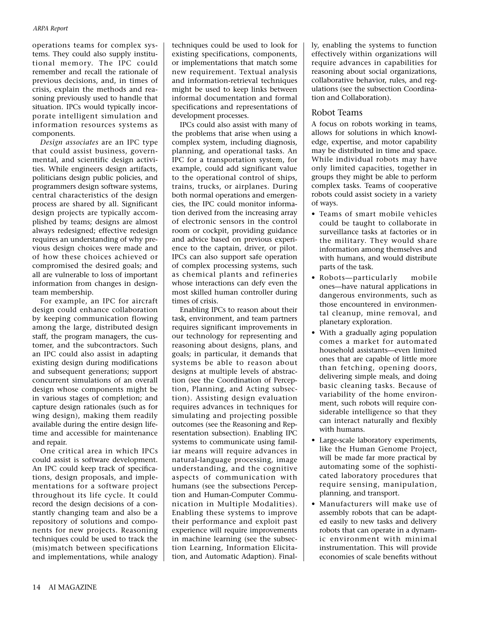operations teams for complex systems. They could also supply institutional memory. The IPC could remember and recall the rationale of previous decisions, and, in times of crisis, explain the methods and reasoning previously used to handle that situation. IPCs would typically incorporate intelligent simulation and information resources systems as components.

*Design associates* are an IPC type that could assist business, governmental, and scientific design activities. While engineers design artifacts, politicians design public policies, and programmers design software systems, central characteristics of the design process are shared by all. Significant design projects are typically accomplished by teams; designs are almost always redesigned; effective redesign requires an understanding of why previous design choices were made and of how these choices achieved or compromised the desired goals; and all are vulnerable to loss of important information from changes in designteam membership.

For example, an IPC for aircraft design could enhance collaboration by keeping communication flowing among the large, distributed design staff, the program managers, the customer, and the subcontractors. Such an IPC could also assist in adapting existing design during modifications and subsequent generations; support concurrent simulations of an overall design whose components might be in various stages of completion; and capture design rationales (such as for wing design), making them readily available during the entire design lifetime and accessible for maintenance and repair.

One critical area in which IPCs could assist is software development. An IPC could keep track of specifications, design proposals, and implementations for a software project throughout its life cycle. It could record the design decisions of a constantly changing team and also be a repository of solutions and components for new projects. Reasoning techniques could be used to track the (mis)match between specifications and implementations, while analogy techniques could be used to look for existing specifications, components, or implementations that match some new requirement. Textual analysis and information-retrieval techniques might be used to keep links between informal documentation and formal specifications and representations of development processes.

IPCs could also assist with many of the problems that arise when using a complex system, including diagnosis, planning, and operational tasks. An IPC for a transportation system, for example, could add significant value to the operational control of ships, trains, trucks, or airplanes. During both normal operations and emergencies, the IPC could monitor information derived from the increasing array of electronic sensors in the control room or cockpit, providing guidance and advice based on previous experience to the captain, driver, or pilot. IPCs can also support safe operation of complex processing systems, such as chemical plants and refineries whose interactions can defy even the most skilled human controller during times of crisis.

Enabling IPCs to reason about their task, environment, and team partners requires significant improvements in our technology for representing and reasoning about designs, plans, and goals; in particular, it demands that systems be able to reason about designs at multiple levels of abstraction (see the Coordination of Perception, Planning, and Acting subsection). Assisting design evaluation requires advances in techniques for simulating and projecting possible outcomes (see the Reasoning and Representation subsection). Enabling IPC systems to communicate using familiar means will require advances in natural-language processing, image understanding, and the cognitive aspects of communication with humans (see the subsections Perception and Human-Computer Communication in Multiple Modalities). Enabling these systems to improve their performance and exploit past experience will require improvements in machine learning (see the subsection Learning, Information Elicitation, and Automatic Adaption). Finally, enabling the systems to function effectively within organizations will require advances in capabilities for reasoning about social organizations, collaborative behavior, rules, and regulations (see the subsection Coordination and Collaboration).

## Robot Teams

A focus on robots working in teams, allows for solutions in which knowledge, expertise, and motor capability may be distributed in time and space. While individual robots may have only limited capacities, together in groups they might be able to perform complex tasks. Teams of cooperative robots could assist society in a variety of ways.

- Teams of smart mobile vehicles could be taught to collaborate in surveillance tasks at factories or in the military. They would share information among themselves and with humans, and would distribute parts of the task.
- Robots—particularly mobile ones—have natural applications in dangerous environments, such as those encountered in environmental cleanup, mine removal, and planetary exploration.
- With a gradually aging population comes a market for automated household assistants—even limited ones that are capable of little more than fetching, opening doors, delivering simple meals, and doing basic cleaning tasks. Because of variability of the home environment, such robots will require considerable intelligence so that they can interact naturally and flexibly with humans.
- Large-scale laboratory experiments, like the Human Genome Project, will be made far more practical by automating some of the sophisticated laboratory procedures that require sensing, manipulation, planning, and transport.
- Manufacturers will make use of assembly robots that can be adapted easily to new tasks and delivery robots that can operate in a dynamic environment with minimal instrumentation. This will provide economies of scale benefits without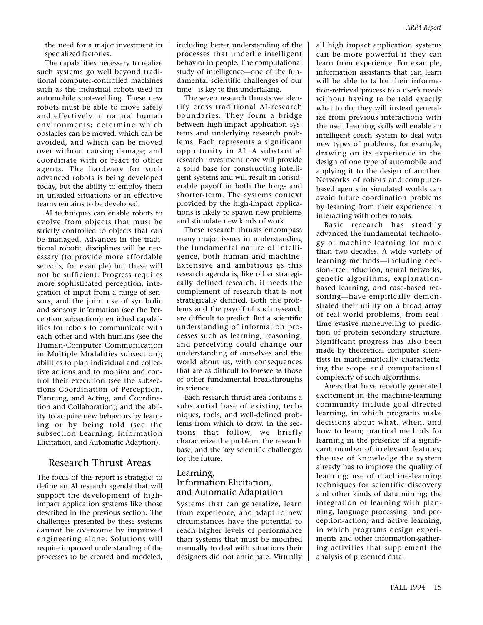the need for a major investment in specialized factories.

The capabilities necessary to realize such systems go well beyond traditional computer-controlled machines such as the industrial robots used in automobile spot-welding. These new robots must be able to move safely and effectively in natural human environments; determine which obstacles can be moved, which can be avoided, and which can be moved over without causing damage; and coordinate with or react to other agents. The hardware for such advanced robots is being developed today, but the ability to employ them in unaided situations or in effective teams remains to be developed.

AI techniques can enable robots to evolve from objects that must be strictly controlled to objects that can be managed. Advances in the traditional robotic disciplines will be necessary (to provide more affordable sensors, for example) but these will not be sufficient. Progress requires more sophisticated perception, integration of input from a range of sensors, and the joint use of symbolic and sensory information (see the Perception subsection); enriched capabilities for robots to communicate with each other and with humans (see the Human-Computer Communication in Multiple Modalities subsection); abilities to plan individual and collective actions and to monitor and control their execution (see the subsections Coordination of Perception, Planning, and Acting, and Coordination and Collaboration); and the ability to acquire new behaviors by learning or by being told (see the subsection Learning, Information Elicitation, and Automatic Adaption).

#### Research Thrust Areas

The focus of this report is strategic: to define an AI research agenda that will support the development of highimpact application systems like those described in the previous section. The challenges presented by these systems cannot be overcome by improved engineering alone. Solutions will require improved understanding of the processes to be created and modeled, including better understanding of the processes that underlie intelligent behavior in people. The computational study of intelligence—one of the fundamental scientific challenges of our time—is key to this undertaking.

The seven research thrusts we identify cross traditional AI-research boundaries. They form a bridge between high-impact application systems and underlying research problems. Each represents a significant opportunity in AI. A substantial research investment now will provide a solid base for constructing intelligent systems and will result in considerable payoff in both the long- and shorter-term. The systems context provided by the high-impact applications is likely to spawn new problems and stimulate new kinds of work.

These research thrusts encompass many major issues in understanding the fundamental nature of intelligence, both human and machine. Extensive and ambitious as this research agenda is, like other strategically defined research, it needs the complement of research that is not strategically defined. Both the problems and the payoff of such research are difficult to predict. But a scientific understanding of information processes such as learning, reasoning, and perceiving could change our understanding of ourselves and the world about us, with consequences that are as difficult to foresee as those of other fundamental breakthroughs in science.

Each research thrust area contains a substantial base of existing techniques, tools, and well-defined problems from which to draw. In the sections that follow, we briefly characterize the problem, the research base, and the key scientific challenges for the future.

#### Learning, Information Elicitation, and Automatic Adaptation

Systems that can generalize, learn from experience, and adapt to new circumstances have the potential to reach higher levels of performance than systems that must be modified manually to deal with situations their designers did not anticipate. Virtually all high impact application systems can be more powerful if they can learn from experience. For example, information assistants that can learn will be able to tailor their information-retrieval process to a user's needs without having to be told exactly what to do; they will instead generalize from previous interactions with the user. Learning skills will enable an intelligent coach system to deal with new types of problems, for example, drawing on its experience in the design of one type of automobile and applying it to the design of another. Networks of robots and computerbased agents in simulated worlds can avoid future coordination problems by learning from their experience in interacting with other robots.

Basic research has steadily advanced the fundamental technology of machine learning for more than two decades. A wide variety of learning methods—including decision-tree induction, neural networks, genetic algorithms, explanationbased learning, and case-based reasoning—have empirically demonstrated their utility on a broad array of real-world problems, from realtime evasive maneuvering to prediction of protein secondary structure. Significant progress has also been made by theoretical computer scientists in mathematically characterizing the scope and computational complexity of such algorithms.

Areas that have recently generated excitement in the machine-learning community include goal-directed learning, in which programs make decisions about what, when, and how to learn; practical methods for learning in the presence of a significant number of irrelevant features; the use of knowledge the system already has to improve the quality of learning; use of machine-learning techniques for scientific discovery and other kinds of data mining; the integration of learning with planning, language processing, and perception-action; and active learning, in which programs design experiments and other information-gathering activities that supplement the analysis of presented data.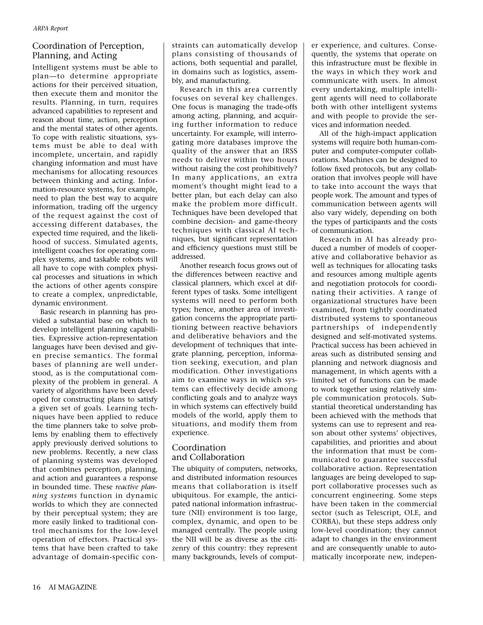# Coordination of Perception, Planning, and Acting

Intelligent systems must be able to plan—to determine appropriate actions for their perceived situation, then execute them and monitor the results. Planning, in turn, requires advanced capabilities to represent and reason about time, action, perception and the mental states of other agents. To cope with realistic situations, systems must be able to deal with incomplete, uncertain, and rapidly changing information and must have mechanisms for allocating resources between thinking and acting. Information-resource systems, for example, need to plan the best way to acquire information, trading off the urgency of the request against the cost of accessing different databases, the expected time required, and the likelihood of success. Simulated agents, intelligent coaches for operating complex systems, and taskable robots will all have to cope with complex physical processes and situations in which the actions of other agents conspire to create a complex, unpredictable, dynamic environment.

Basic research in planning has provided a substantial base on which to develop intelligent planning capabilities. Expressive action-representation languages have been devised and given precise semantics. The formal bases of planning are well understood, as is the computational complexity of the problem in general. A variety of algorithms have been developed for constructing plans to satisfy a given set of goals. Learning techniques have been applied to reduce the time planners take to solve problems by enabling them to effectively apply previously derived solutions to new problems. Recently, a new class of planning systems was developed that combines perception, planning, and action and guarantees a response in bounded time. These *reactive planning systems* function in dynamic worlds to which they are connected by their perceptual system; they are more easily linked to traditional control mechanisms for the low-level operation of effectors. Practical systems that have been crafted to take advantage of domain-specific con-

straints can automatically develop plans consisting of thousands of actions, both sequential and parallel, in domains such as logistics, assembly, and manufacturing.

Research in this area currently focuses on several key challenges. One focus is managing the trade-offs among acting, planning, and acquiring further information to reduce uncertainty. For example, will interrogating more databases improve the quality of the answer that an IRSS needs to deliver within two hours without raising the cost prohibitively? In many applications, an extra moment's thought might lead to a better plan, but each delay can also make the problem more difficult. Techniques have been developed that combine decision- and game-theory techniques with classical AI techniques, but significant representation and efficiency questions must still be addressed.

Another research focus grows out of the differences between reactive and classical planners, which excel at different types of tasks. Some intelligent systems will need to perform both types; hence, another area of investigation concerns the appropriate partitioning between reactive behaviors and deliberative behaviors and the development of techniques that integrate planning, perception, information seeking, execution, and plan modification. Other investigations aim to examine ways in which systems can effectively decide among conflicting goals and to analyze ways in which systems can effectively build models of the world, apply them to situations, and modify them from experience.

## Coordination and Collaboration

The ubiquity of computers, networks, and distributed information resources means that collaboration is itself ubiquitous. For example, the anticipated national information infrastructure (NII) environment is too large, complex, dynamic, and open to be managed centrally. The people using the NII will be as diverse as the citizenry of this country: they represent many backgrounds, levels of comput-

er experience, and cultures. Consequently, the systems that operate on this infrastructure must be flexible in the ways in which they work and communicate with users. In almost every undertaking, multiple intelligent agents will need to collaborate both with other intelligent systems and with people to provide the services and information needed.

All of the high-impact application systems will require both human-computer and computer-computer collaborations. Machines can be designed to follow fixed protocols, but any collaboration that involves people will have to take into account the ways that people work. The amount and types of communication between agents will also vary widely, depending on both the types of participants and the costs of communication.

Research in AI has already produced a number of models of cooperative and collaborative behavior as well as techniques for allocating tasks and resources among multiple agents and negotiation protocols for coordinating their activities. A range of organizational structures have been examined, from tightly coordinated distributed systems to spontaneous partnerships of independently designed and self-motivated systems. Practical success has been achieved in areas such as distributed sensing and planning and network diagnosis and management, in which agents with a limited set of functions can be made to work together using relatively simple communication protocols. Substantial theoretical understanding has been achieved with the methods that systems can use to represent and reason about other systems' objectives, capabilities, and priorities and about the information that must be communicated to guarantee successful collaborative action. Representation languages are being developed to support collaborative processes such as concurrent engineering. Some steps have been taken in the commercial sector (such as Telescript, OLE, and CORBA), but these steps address only low-level coordination; they cannot adapt to changes in the environment and are consequently unable to automatically incorporate new, indepen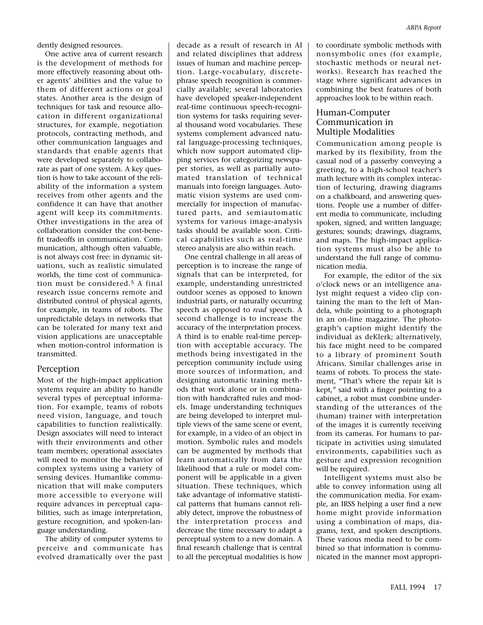dently designed resources.

One active area of current research is the development of methods for more effectively reasoning about other agents' abilities and the value to them of different actions or goal states. Another area is the design of techniques for task and resource allocation in different organizational structures, for example, negotiation protocols, contracting methods, and other communication languages and standards that enable agents that were developed separately to collaborate as part of one system. A key question is how to take account of the reliability of the information a system receives from other agents and the confidence it can have that another agent will keep its commitments. Other investigations in the area of collaboration consider the cost-benefit tradeoffs in communication. Communication, although often valuable, is not always cost free: in dynamic situations, such as realistic simulated worlds, the time cost of communication must be considered.5 A final research issue concerns remote and distributed control of physical agents, for example, in teams of robots. The unpredictable delays in networks that can be tolerated for many text and vision applications are unacceptable when motion-control information is transmitted.

## Perception

Most of the high-impact application systems require an ability to handle several types of perceptual information. For example, teams of robots need vision, language, and touch capabilities to function realistically. Design associates will need to interact with their environments and other team members; operational associates will need to monitor the behavior of complex systems using a variety of sensing devices. Humanlike communication that will make computers more accessible to everyone will require advances in perceptual capabilities, such as image interpretation, gesture recognition, and spoken-language understanding.

The ability of computer systems to perceive and communicate has evolved dramatically over the past decade as a result of research in AI and related disciplines that address issues of human and machine perception. Large-vocabulary, discretephrase speech recognition is commercially available; several laboratories have developed speaker-independent real-time continuous speech-recognition systems for tasks requiring several thousand word vocabularies. These systems complement advanced natural language-processing techniques, which now support automated clipping services for categorizing newspaper stories, as well as partially automated translation of technical manuals into foreign languages. Automatic vision systems are used commercially for inspection of manufactured parts, and semiautomatic systems for various image-analysis tasks should be available soon. Critical capabilities such as real-time stereo analysis are also within reach.

One central challenge in all areas of perception is to increase the range of signals that can be interpreted, for example, understanding unrestricted outdoor scenes as opposed to known industrial parts, or naturally occurring speech as opposed to *read* speech. A second challenge is to increase the accuracy of the interpretation process. A third is to enable real-time perception with acceptable accuracy. The methods being investigated in the perception community include using more sources of information, and designing automatic training methods that work alone or in combination with handcrafted rules and models. Image understanding techniques are being developed to interpret multiple views of the same scene or event, for example, in a video of an object in motion. Symbolic rules and models can be augmented by methods that learn automatically from data the likelihood that a rule or model component will be applicable in a given situation. These techniques, which take advantage of informative statistical patterns that humans cannot reliably detect, improve the robustness of the interpretation process and decrease the time necessary to adapt a perceptual system to a new domain. A final research challenge that is central to all the perceptual modalities is how to coordinate symbolic methods with nonsymbolic ones (for example, stochastic methods or neural networks). Research has reached the stage where significant advances in combining the best features of both approaches look to be within reach.

*ARPA Report*

## Human-Computer Communication in Multiple Modalities

Communication among people is marked by its flexibility, from the casual nod of a passerby conveying a greeting, to a high-school teacher's math lecture with its complex interaction of lecturing, drawing diagrams on a chalkboard, and answering questions. People use a number of different media to communicate, including spoken, signed, and written language; gestures; sounds; drawings, diagrams, and maps. The high-impact application systems must also be able to understand the full range of communication media.

For example, the editor of the six o'clock news or an intelligence analyst might request a video clip containing the man to the left of Mandela, while pointing to a photograph in an on-line magazine. The photograph's caption might identify the individual as deKlerk; alternatively, his face might need to be compared to a library of prominent South Africans. Similar challenges arise in teams of robots. To process the statement, "That's where the repair kit is kept," said with a finger pointing to a cabinet, a robot must combine understanding of the utterances of the (human) trainer with interpretation of the images it is currently receiving from its cameras. For humans to participate in activities using simulated environments, capabilities such as gesture and expression recognition will be required.

Intelligent systems must also be able to convey information using all the communication media. For example, an IRSS helping a user find a new home might provide information using a combination of maps, diagrams, text, and spoken descriptions. These various media need to be combined so that information is communicated in the manner most appropri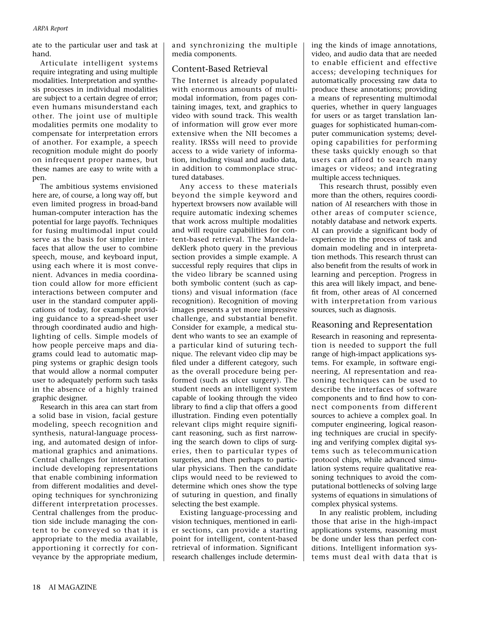ate to the particular user and task at hand.

Articulate intelligent systems require integrating and using multiple modalities. Interpretation and synthesis processes in individual modalities are subject to a certain degree of error; even humans misunderstand each other. The joint use of multiple modalities permits one modality to compensate for interpretation errors of another. For example, a speech recognition module might do poorly on infrequent proper names, but these names are easy to write with a pen.

The ambitious systems envisioned here are, of course, a long way off, but even limited progress in broad-band human-computer interaction has the potential for large payoffs. Techniques for fusing multimodal input could serve as the basis for simpler interfaces that allow the user to combine speech, mouse, and keyboard input, using each where it is most convenient. Advances in media coordination could allow for more efficient interactions between computer and user in the standard computer applications of today, for example providing guidance to a spread-sheet user through coordinated audio and highlighting of cells. Simple models of how people perceive maps and diagrams could lead to automatic mapping systems or graphic design tools that would allow a normal computer user to adequately perform such tasks in the absence of a highly trained graphic designer.

Research in this area can start from a solid base in vision, facial gesture modeling, speech recognition and synthesis, natural-language processing, and automated design of informational graphics and animations. Central challenges for interpretation include developing representations that enable combining information from different modalities and developing techniques for synchronizing different interpretation processes. Central challenges from the production side include managing the content to be conveyed so that it is appropriate to the media available, apportioning it correctly for conveyance by the appropriate medium, and synchronizing the multiple media components.

#### Content-Based Retrieval

The Internet is already populated with enormous amounts of multimodal information, from pages containing images, text, and graphics to video with sound track. This wealth of information will grow ever more extensive when the NII becomes a reality. IRSSs will need to provide access to a wide variety of information, including visual and audio data, in addition to commonplace structured databases.

Any access to these materials beyond the simple keyword and hypertext browsers now available will require automatic indexing schemes that work across multiple modalities and will require capabilities for content-based retrieval. The MandeladeKlerk photo query in the previous section provides a simple example. A successful reply requires that clips in the video library be scanned using both symbolic content (such as captions) and visual information (face recognition). Recognition of moving images presents a yet more impressive challenge, and substantial benefit. Consider for example, a medical student who wants to see an example of a particular kind of suturing technique. The relevant video clip may be filed under a different category, such as the overall procedure being performed (such as ulcer surgery). The student needs an intelligent system capable of looking through the video library to find a clip that offers a good illustration. Finding even potentially relevant clips might require significant reasoning, such as first narrowing the search down to clips of surgeries, then to particular types of surgeries, and then perhaps to particular physicians. Then the candidate clips would need to be reviewed to determine which ones show the type of suturing in question, and finally selecting the best example.

Existing language-processing and vision techniques, mentioned in earlier sections, can provide a starting point for intelligent, content-based retrieval of information. Significant research challenges include determining the kinds of image annotations, video, and audio data that are needed to enable efficient and effective access; developing techniques for automatically processing raw data to produce these annotations; providing a means of representing multimodal queries, whether in query languages for users or as target translation languages for sophisticated human-computer communication systems; developing capabilities for performing these tasks quickly enough so that users can afford to search many images or videos; and integrating multiple access techniques.

This research thrust, possibly even more than the others, requires coordination of AI researchers with those in other areas of computer science, notably database and network experts. AI can provide a significant body of experience in the process of task and domain modeling and in interpretation methods. This research thrust can also benefit from the results of work in learning and perception. Progress in this area will likely impact, and benefit from, other areas of AI concerned with interpretation from various sources, such as diagnosis.

## Reasoning and Representation

Research in reasoning and representation is needed to support the full range of high-impact applications systems. For example, in software engineering, AI representation and reasoning techniques can be used to describe the interfaces of software components and to find how to connect components from different sources to achieve a complex goal. In computer engineering, logical reasoning techniques are crucial in specifying and verifying complex digital systems such as telecommunication protocol chips, while advanced simulation systems require qualitative reasoning techniques to avoid the computational bottlenecks of solving large systems of equations in simulations of complex physical systems.

In any realistic problem, including those that arise in the high-impact applications systems, reasoning must be done under less than perfect conditions. Intelligent information systems must deal with data that is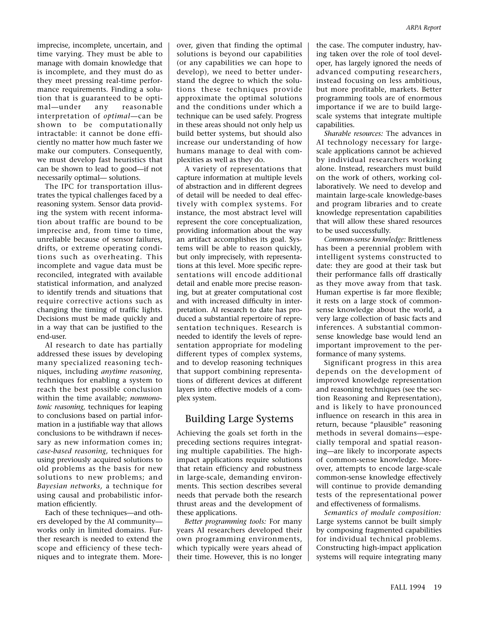imprecise, incomplete, uncertain, and time varying. They must be able to manage with domain knowledge that is incomplete, and they must do as they meet pressing real-time performance requirements. Finding a solution that is guaranteed to be optimal—under any reasonable interpretation of *optimal*—can be shown to be computationally intractable: it cannot be done efficiently no matter how much faster we make our computers. Consequently, we must develop fast heuristics that can be shown to lead to good—if not necessarily optimal— solutions.

The IPC for transportation illustrates the typical challenges faced by a reasoning system. Sensor data providing the system with recent information about traffic are bound to be imprecise and, from time to time, unreliable because of sensor failures, drifts, or extreme operating conditions such as overheating. This incomplete and vague data must be reconciled, integrated with available statistical information, and analyzed to identify trends and situations that require corrective actions such as changing the timing of traffic lights. Decisions must be made quickly and in a way that can be justified to the end-user.

AI research to date has partially addressed these issues by developing many specialized reasoning techniques, including *anytime reasoning*, techniques for enabling a system to reach the best possible conclusion within the time available; *nonmonotonic reasoning,* techniques for leaping to conclusions based on partial information in a justifiable way that allows conclusions to be withdrawn if necessary as new information comes in; *case-based reasoning,* techniques for using previously acquired solutions to old problems as the basis for new solutions to new problems; and *Bayesian networks,* a technique for using causal and probabilistic information efficiently.

Each of these techniques—and others developed by the AI community works only in limited domains. Further research is needed to extend the scope and efficiency of these techniques and to integrate them. Moreover, given that finding the optimal solutions is beyond our capabilities (or any capabilities we can hope to develop), we need to better understand the degree to which the solutions these techniques provide approximate the optimal solutions and the conditions under which a technique can be used safely. Progress in these areas should not only help us build better systems, but should also increase our understanding of how humans manage to deal with complexities as well as they do.

A variety of representations that capture information at multiple levels of abstraction and in different degrees of detail will be needed to deal effectively with complex systems. For instance, the most abstract level will represent the core conceptualization, providing information about the way an artifact accomplishes its goal. Systems will be able to reason quickly, but only imprecisely, with representations at this level. More specific representations will encode additional detail and enable more precise reasoning, but at greater computational cost and with increased difficulty in interpretation. AI research to date has produced a substantial repertoire of representation techniques. Research is needed to identify the levels of representation appropriate for modeling different types of complex systems, and to develop reasoning techniques that support combining representations of different devices at different layers into effective models of a complex system.

## Building Large Systems

Achieving the goals set forth in the preceding sections requires integrating multiple capabilities. The highimpact applications require solutions that retain efficiency and robustness in large-scale, demanding environments. This section describes several needs that pervade both the research thrust areas and the development of these applications.

*Better programming tools:* For many years AI researchers developed their own programming environments, which typically were years ahead of their time. However, this is no longer the case. The computer industry, having taken over the role of tool developer, has largely ignored the needs of advanced computing researchers, instead focusing on less ambitious, but more profitable, markets. Better programming tools are of enormous importance if we are to build largescale systems that integrate multiple capabilities.

*Sharable resources:* The advances in AI technology necessary for largescale applications cannot be achieved by individual researchers working alone. Instead, researchers must build on the work of others, working collaboratively. We need to develop and maintain large-scale knowledge-bases and program libraries and to create knowledge representation capabilities that will allow these shared resources to be used successfully.

*Common-sense knowledge:* Brittleness has been a perennial problem with intelligent systems constructed to date: they are good at their task but their performance falls off drastically as they move away from that task. Human expertise is far more flexible; it rests on a large stock of commonsense knowledge about the world, a very large collection of basic facts and inferences. A substantial commonsense knowledge base would lend an important improvement to the performance of many systems.

Significant progress in this area depends on the development of improved knowledge representation and reasoning techniques (see the section Reasoning and Representation), and is likely to have pronounced influence on research in this area in return, because "plausible" reasoning methods in several domains—especially temporal and spatial reasoning—are likely to incorporate aspects of common-sense knowledge. Moreover, attempts to encode large-scale common-sense knowledge effectively will continue to provide demanding tests of the representational power and effectiveness of formalisms.

*Semantics of module composition:* Large systems cannot be built simply by composing fragmented capabilities for individual technical problems. Constructing high-impact application systems will require integrating many